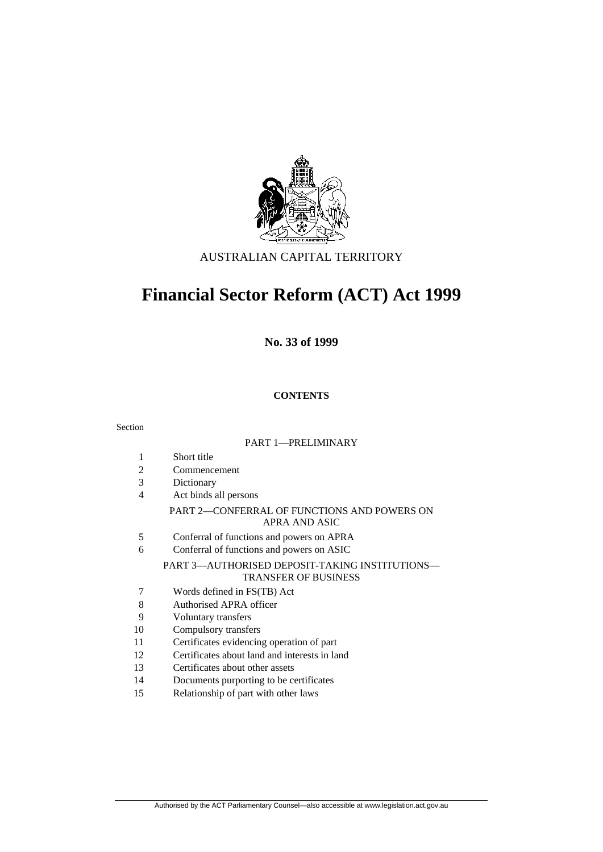

### AUSTRALIAN CAPITAL TERRITORY

## **Financial Sector Reform (ACT) Act 1999**

**No. 33 of 1999** 

### **CONTENTS**

#### Section

#### PART 1—PRELIMINARY

- 1 Short title
- 2 Commencement
- 3 Dictionary
- 4 Act binds all persons

#### PART 2—CONFERRAL OF FUNCTIONS AND POWERS ON APRA AND ASIC

- 5 Conferral of functions and powers on APRA
- 6 Conferral of functions and powers on ASIC

#### PART 3—AUTHORISED DEPOSIT-TAKING INSTITUTIONS— TRANSFER OF BUSINESS

- 7 Words defined in FS(TB) Act
- 8 Authorised APRA officer
- 9 Voluntary transfers
- 10 Compulsory transfers
- 11 Certificates evidencing operation of part
- 12 Certificates about land and interests in land
- 13 Certificates about other assets
- 14 Documents purporting to be certificates
- 15 Relationship of part with other laws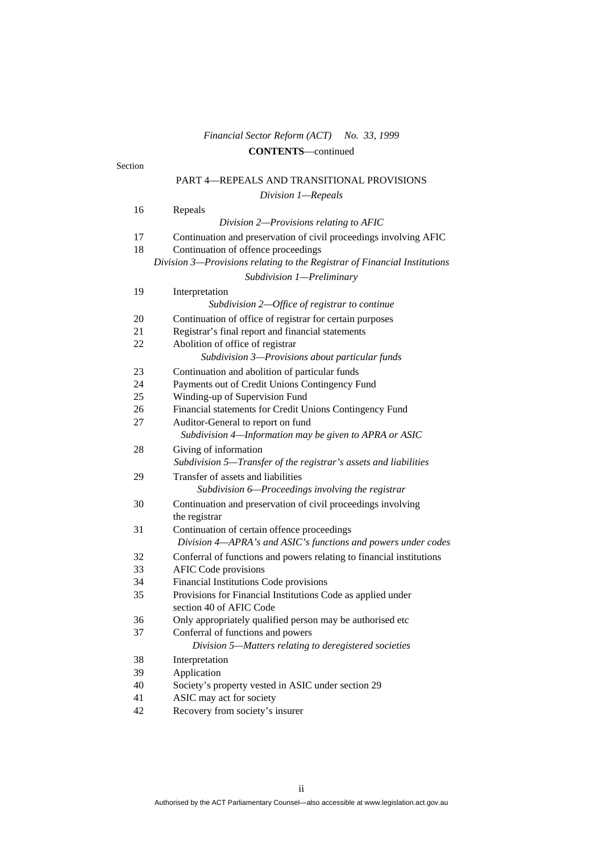### *Financial Sector Reform (ACT) No. 33, 1999*  **CONTENTS**—continued

| Section  |                                                                                             |
|----------|---------------------------------------------------------------------------------------------|
|          | PART 4-REPEALS AND TRANSITIONAL PROVISIONS                                                  |
|          | Division 1-Repeals                                                                          |
| 16       | Repeals                                                                                     |
|          | Division 2-Provisions relating to AFIC                                                      |
| 17       | Continuation and preservation of civil proceedings involving AFIC                           |
| 18       | Continuation of offence proceedings                                                         |
|          | Division 3-Provisions relating to the Registrar of Financial Institutions                   |
|          | Subdivision 1-Preliminary                                                                   |
| 19       | Interpretation                                                                              |
|          | Subdivision 2—Office of registrar to continue                                               |
| 20       | Continuation of office of registrar for certain purposes                                    |
| 21       | Registrar's final report and financial statements                                           |
| 22       | Abolition of office of registrar                                                            |
|          | Subdivision 3-Provisions about particular funds                                             |
| 23       | Continuation and abolition of particular funds                                              |
| 24       | Payments out of Credit Unions Contingency Fund                                              |
| 25       | Winding-up of Supervision Fund                                                              |
| 26       | Financial statements for Credit Unions Contingency Fund                                     |
| 27       | Auditor-General to report on fund<br>Subdivision 4-Information may be given to APRA or ASIC |
| 28       | Giving of information                                                                       |
|          | Subdivision 5—Transfer of the registrar's assets and liabilities                            |
| 29       | Transfer of assets and liabilities                                                          |
|          | Subdivision 6-Proceedings involving the registrar                                           |
| 30       | Continuation and preservation of civil proceedings involving                                |
|          | the registrar                                                                               |
| 31       | Continuation of certain offence proceedings                                                 |
|          | Division 4-APRA's and ASIC's functions and powers under codes                               |
| 32       | Conferral of functions and powers relating to financial institutions                        |
| 33<br>34 | <b>AFIC Code provisions</b><br>Financial Institutions Code provisions                       |
| 35       | Provisions for Financial Institutions Code as applied under                                 |
|          | section 40 of AFIC Code                                                                     |
| 36       | Only appropriately qualified person may be authorised etc                                   |
| 37       | Conferral of functions and powers                                                           |
|          | Division 5-Matters relating to deregistered societies                                       |
| 38       | Interpretation                                                                              |
| 39       | Application                                                                                 |
| 40       | Society's property vested in ASIC under section 29                                          |
| 41       | ASIC may act for society                                                                    |
| 42       | Recovery from society's insurer                                                             |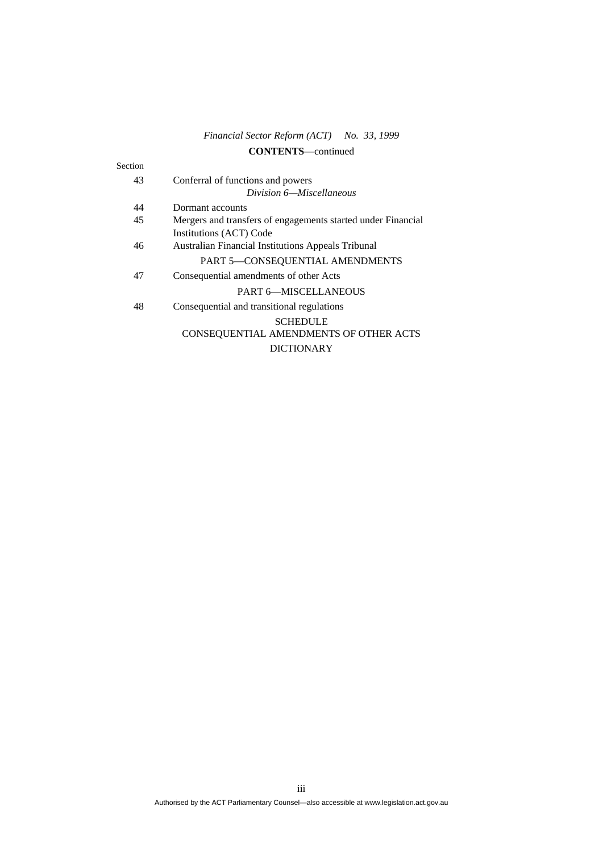### *Financial Sector Reform (ACT) No. 33, 1999*  **CONTENTS**—continued

| Section |                                                              |
|---------|--------------------------------------------------------------|
| 43      | Conferral of functions and powers                            |
|         | Division 6—Miscellaneous                                     |
| 44      | Dormant accounts                                             |
| 45      | Mergers and transfers of engagements started under Financial |
|         | Institutions (ACT) Code                                      |
| 46      | <b>Australian Financial Institutions Appeals Tribunal</b>    |
|         | PART 5-CONSEQUENTIAL AMENDMENTS                              |
| 47      | Consequential amendments of other Acts                       |
|         | <b>PART 6-MISCELLANEOUS</b>                                  |
| 48      | Consequential and transitional regulations                   |
|         | <b>SCHEDULE</b>                                              |
|         | CONSEQUENTIAL AMENDMENTS OF OTHER ACTS                       |
|         | <b>DICTIONARY</b>                                            |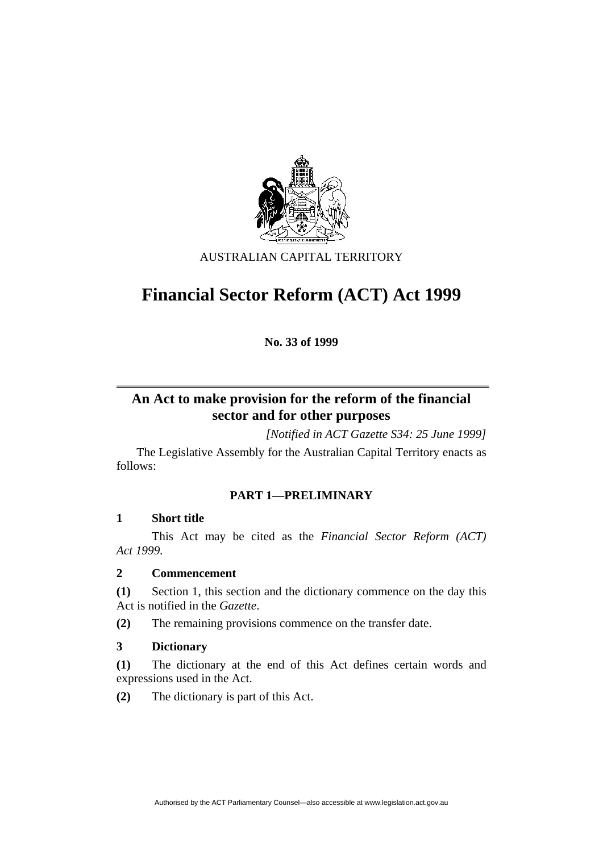

AUSTRALIAN CAPITAL TERRITORY

# **Financial Sector Reform (ACT) Act 1999**

**No. 33 of 1999** 

## **An Act to make provision for the reform of the financial sector and for other purposes**

*[Notified in ACT Gazette S34: 25 June 1999]* 

 The Legislative Assembly for the Australian Capital Territory enacts as follows:

### **PART 1—PRELIMINARY**

### **1 Short title**

 This Act may be cited as the *Financial Sector Reform (ACT) Act 1999.*

### **2 Commencement**

**(1)** Section 1, this section and the dictionary commence on the day this Act is notified in the *Gazette*.

**(2)** The remaining provisions commence on the transfer date.

### **3 Dictionary**

**(1)** The dictionary at the end of this Act defines certain words and expressions used in the Act.

**(2)** The dictionary is part of this Act.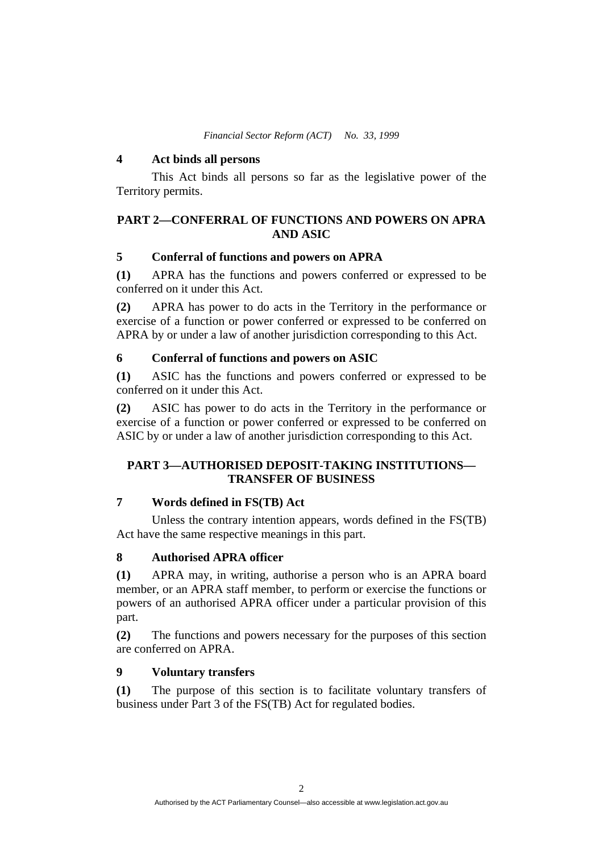*Financial Sector Reform (ACT) No. 33, 1999* 

#### **4 Act binds all persons**

 This Act binds all persons so far as the legislative power of the Territory permits.

### **PART 2—CONFERRAL OF FUNCTIONS AND POWERS ON APRA AND ASIC**

### **5 Conferral of functions and powers on APRA**

**(1)** APRA has the functions and powers conferred or expressed to be conferred on it under this Act.

**(2)** APRA has power to do acts in the Territory in the performance or exercise of a function or power conferred or expressed to be conferred on APRA by or under a law of another jurisdiction corresponding to this Act.

### **6 Conferral of functions and powers on ASIC**

**(1)** ASIC has the functions and powers conferred or expressed to be conferred on it under this Act.

**(2)** ASIC has power to do acts in the Territory in the performance or exercise of a function or power conferred or expressed to be conferred on ASIC by or under a law of another jurisdiction corresponding to this Act.

### **PART 3—AUTHORISED DEPOSIT-TAKING INSTITUTIONS— TRANSFER OF BUSINESS**

### **7 Words defined in FS(TB) Act**

 Unless the contrary intention appears, words defined in the FS(TB) Act have the same respective meanings in this part.

### **8 Authorised APRA officer**

**(1)** APRA may, in writing, authorise a person who is an APRA board member, or an APRA staff member, to perform or exercise the functions or powers of an authorised APRA officer under a particular provision of this part.

**(2)** The functions and powers necessary for the purposes of this section are conferred on APRA.

### **9 Voluntary transfers**

**(1)** The purpose of this section is to facilitate voluntary transfers of business under Part 3 of the FS(TB) Act for regulated bodies.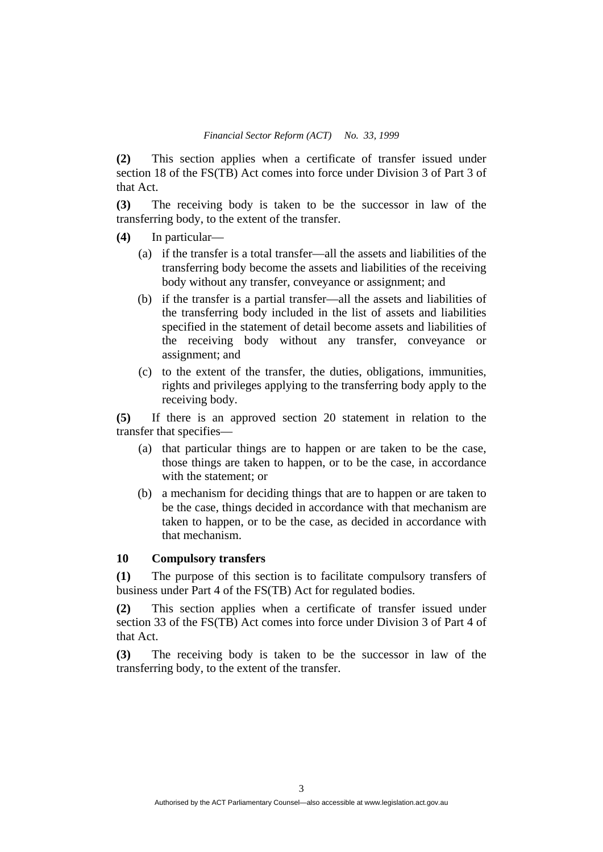**(2)** This section applies when a certificate of transfer issued under section 18 of the FS(TB) Act comes into force under Division 3 of Part 3 of that Act.

**(3)** The receiving body is taken to be the successor in law of the transferring body, to the extent of the transfer.

- **(4)** In particular—
	- (a) if the transfer is a total transfer—all the assets and liabilities of the transferring body become the assets and liabilities of the receiving body without any transfer, conveyance or assignment; and
	- (b) if the transfer is a partial transfer—all the assets and liabilities of the transferring body included in the list of assets and liabilities specified in the statement of detail become assets and liabilities of the receiving body without any transfer, conveyance or assignment; and
	- (c) to the extent of the transfer, the duties, obligations, immunities, rights and privileges applying to the transferring body apply to the receiving body.

**(5)** If there is an approved section 20 statement in relation to the transfer that specifies—

- (a) that particular things are to happen or are taken to be the case, those things are taken to happen, or to be the case, in accordance with the statement; or
- (b) a mechanism for deciding things that are to happen or are taken to be the case, things decided in accordance with that mechanism are taken to happen, or to be the case, as decided in accordance with that mechanism.

#### **10 Compulsory transfers**

**(1)** The purpose of this section is to facilitate compulsory transfers of business under Part 4 of the FS(TB) Act for regulated bodies.

**(2)** This section applies when a certificate of transfer issued under section 33 of the FS(TB) Act comes into force under Division 3 of Part 4 of that Act.

**(3)** The receiving body is taken to be the successor in law of the transferring body, to the extent of the transfer.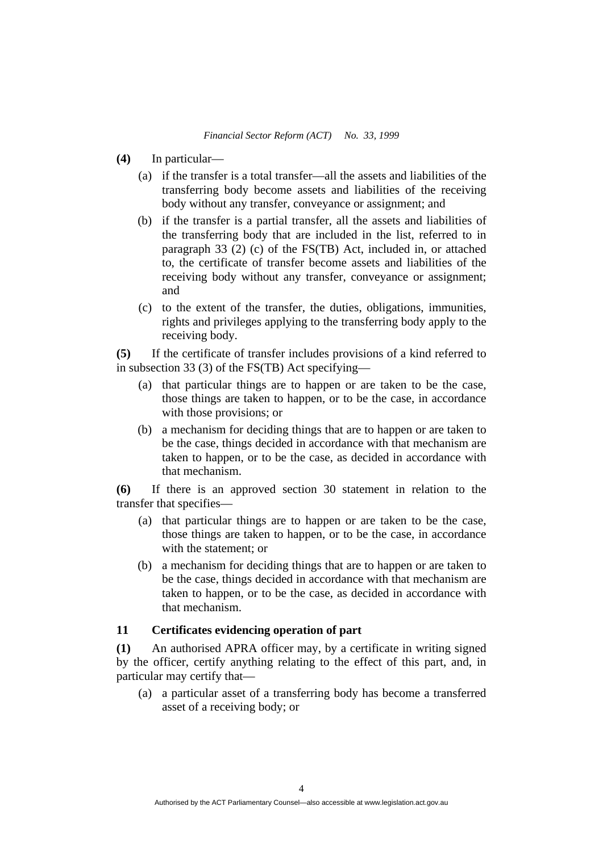- **(4)** In particular—
	- (a) if the transfer is a total transfer—all the assets and liabilities of the transferring body become assets and liabilities of the receiving body without any transfer, conveyance or assignment; and
	- (b) if the transfer is a partial transfer, all the assets and liabilities of the transferring body that are included in the list, referred to in paragraph 33 (2) (c) of the FS(TB) Act, included in, or attached to, the certificate of transfer become assets and liabilities of the receiving body without any transfer, conveyance or assignment; and
	- (c) to the extent of the transfer, the duties, obligations, immunities, rights and privileges applying to the transferring body apply to the receiving body.

**(5)** If the certificate of transfer includes provisions of a kind referred to in subsection 33 (3) of the FS(TB) Act specifying—

- (a) that particular things are to happen or are taken to be the case, those things are taken to happen, or to be the case, in accordance with those provisions; or
- (b) a mechanism for deciding things that are to happen or are taken to be the case, things decided in accordance with that mechanism are taken to happen, or to be the case, as decided in accordance with that mechanism.

**(6)** If there is an approved section 30 statement in relation to the transfer that specifies—

- (a) that particular things are to happen or are taken to be the case, those things are taken to happen, or to be the case, in accordance with the statement; or
- (b) a mechanism for deciding things that are to happen or are taken to be the case, things decided in accordance with that mechanism are taken to happen, or to be the case, as decided in accordance with that mechanism.

### **11 Certificates evidencing operation of part**

**(1)** An authorised APRA officer may, by a certificate in writing signed by the officer, certify anything relating to the effect of this part, and, in particular may certify that—

 (a) a particular asset of a transferring body has become a transferred asset of a receiving body; or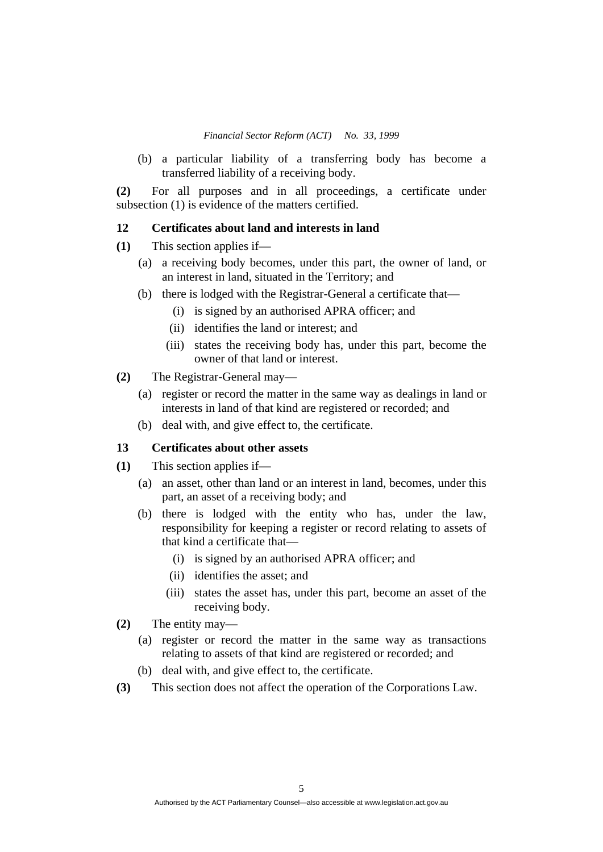(b) a particular liability of a transferring body has become a transferred liability of a receiving body.

**(2)** For all purposes and in all proceedings, a certificate under subsection (1) is evidence of the matters certified.

### **12 Certificates about land and interests in land**

- **(1)** This section applies if—
	- (a) a receiving body becomes, under this part, the owner of land, or an interest in land, situated in the Territory; and
	- (b) there is lodged with the Registrar-General a certificate that—
		- (i) is signed by an authorised APRA officer; and
		- (ii) identifies the land or interest; and
		- (iii) states the receiving body has, under this part, become the owner of that land or interest.
- **(2)** The Registrar-General may—
	- (a) register or record the matter in the same way as dealings in land or interests in land of that kind are registered or recorded; and
	- (b) deal with, and give effect to, the certificate.

#### **13 Certificates about other assets**

- **(1)** This section applies if—
	- (a) an asset, other than land or an interest in land, becomes, under this part, an asset of a receiving body; and
	- (b) there is lodged with the entity who has, under the law, responsibility for keeping a register or record relating to assets of that kind a certificate that—
		- (i) is signed by an authorised APRA officer; and
		- (ii) identifies the asset; and
		- (iii) states the asset has, under this part, become an asset of the receiving body.
- **(2)** The entity may—
	- (a) register or record the matter in the same way as transactions relating to assets of that kind are registered or recorded; and
	- (b) deal with, and give effect to, the certificate.
- **(3)** This section does not affect the operation of the Corporations Law.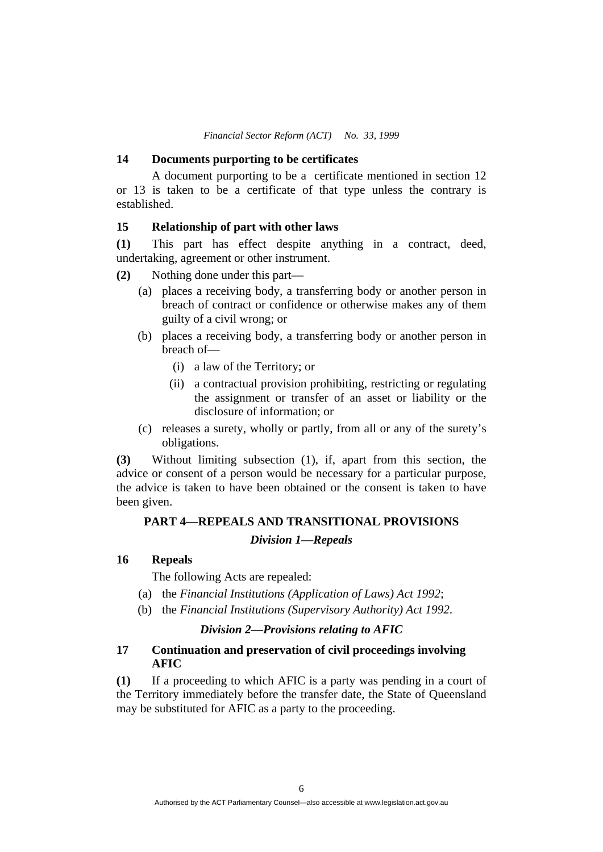*Financial Sector Reform (ACT) No. 33, 1999* 

#### **14 Documents purporting to be certificates**

 A document purporting to be a certificate mentioned in section 12 or 13 is taken to be a certificate of that type unless the contrary is established.

### **15 Relationship of part with other laws**

**(1)** This part has effect despite anything in a contract, deed, undertaking, agreement or other instrument.

- **(2)** Nothing done under this part—
	- (a) places a receiving body, a transferring body or another person in breach of contract or confidence or otherwise makes any of them guilty of a civil wrong; or
	- (b) places a receiving body, a transferring body or another person in breach of—
		- (i) a law of the Territory; or
		- (ii) a contractual provision prohibiting, restricting or regulating the assignment or transfer of an asset or liability or the disclosure of information; or
	- (c) releases a surety, wholly or partly, from all or any of the surety's obligations.

**(3)** Without limiting subsection (1), if, apart from this section, the advice or consent of a person would be necessary for a particular purpose, the advice is taken to have been obtained or the consent is taken to have been given.

### **PART 4—REPEALS AND TRANSITIONAL PROVISIONS**

### *Division 1—Repeals*

### **16 Repeals**

The following Acts are repealed:

- (a) the *Financial Institutions (Application of Laws) Act 1992*;
- (b) the *Financial Institutions (Supervisory Authority) Act 1992*.

#### *Division 2—Provisions relating to AFIC*

### **17 Continuation and preservation of civil proceedings involving AFIC**

**(1)** If a proceeding to which AFIC is a party was pending in a court of the Territory immediately before the transfer date, the State of Queensland may be substituted for AFIC as a party to the proceeding.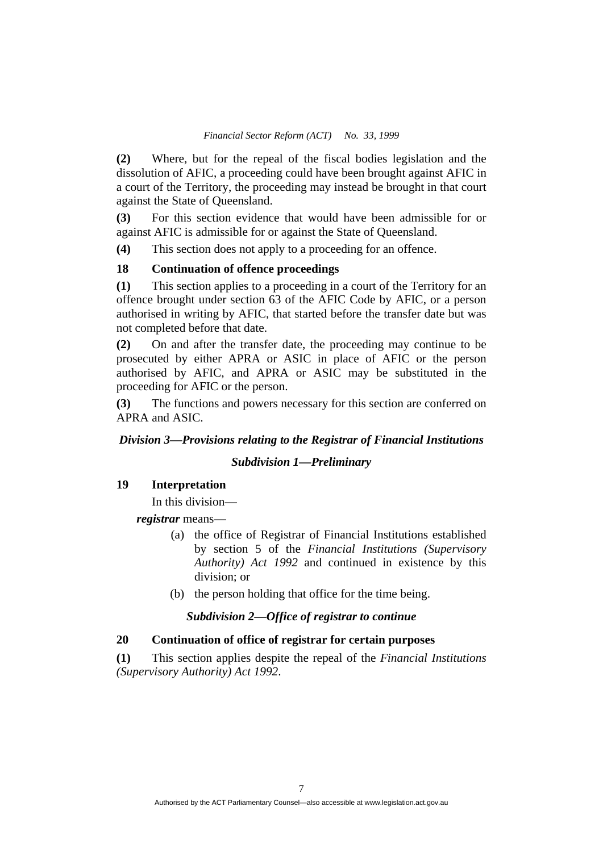**(2)** Where, but for the repeal of the fiscal bodies legislation and the dissolution of AFIC, a proceeding could have been brought against AFIC in a court of the Territory, the proceeding may instead be brought in that court against the State of Queensland.

**(3)** For this section evidence that would have been admissible for or against AFIC is admissible for or against the State of Queensland.

**(4)** This section does not apply to a proceeding for an offence.

#### **18 Continuation of offence proceedings**

**(1)** This section applies to a proceeding in a court of the Territory for an offence brought under section 63 of the AFIC Code by AFIC, or a person authorised in writing by AFIC, that started before the transfer date but was not completed before that date.

**(2)** On and after the transfer date, the proceeding may continue to be prosecuted by either APRA or ASIC in place of AFIC or the person authorised by AFIC, and APRA or ASIC may be substituted in the proceeding for AFIC or the person.

**(3)** The functions and powers necessary for this section are conferred on APRA and ASIC.

### *Division 3—Provisions relating to the Registrar of Financial Institutions*

#### *Subdivision 1—Preliminary*

### **19 Interpretation**

In this division—

*registrar* means—

- (a) the office of Registrar of Financial Institutions established by section 5 of the *Financial Institutions (Supervisory Authority) Act 1992* and continued in existence by this division; or
- (b) the person holding that office for the time being.

### *Subdivision 2—Office of registrar to continue*

### **20 Continuation of office of registrar for certain purposes**

**(1)** This section applies despite the repeal of the *Financial Institutions (Supervisory Authority) Act 1992*.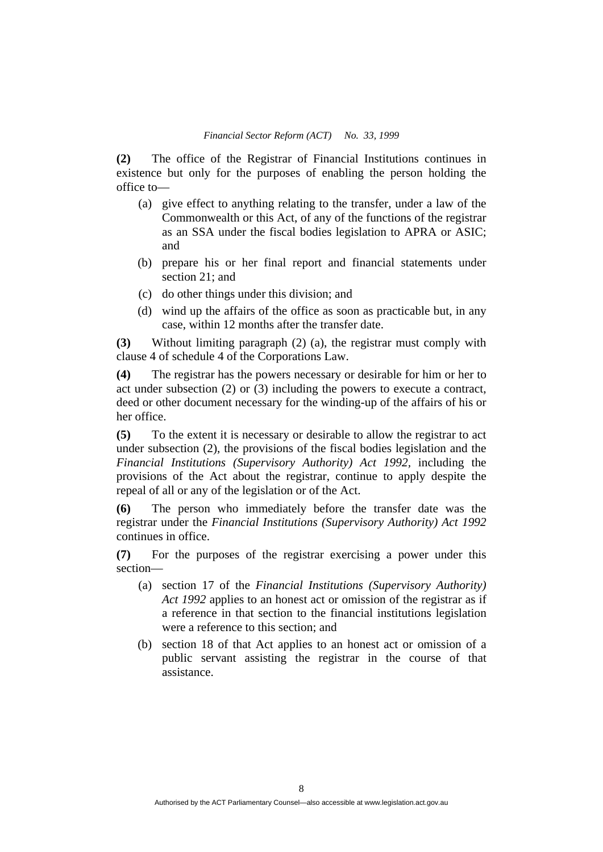**(2)** The office of the Registrar of Financial Institutions continues in existence but only for the purposes of enabling the person holding the office to—

- (a) give effect to anything relating to the transfer, under a law of the Commonwealth or this Act, of any of the functions of the registrar as an SSA under the fiscal bodies legislation to APRA or ASIC; and
- (b) prepare his or her final report and financial statements under section 21; and
- (c) do other things under this division; and
- (d) wind up the affairs of the office as soon as practicable but, in any case, within 12 months after the transfer date.

**(3)** Without limiting paragraph (2) (a), the registrar must comply with clause 4 of schedule 4 of the Corporations Law.

**(4)** The registrar has the powers necessary or desirable for him or her to act under subsection (2) or (3) including the powers to execute a contract, deed or other document necessary for the winding-up of the affairs of his or her office.

**(5)** To the extent it is necessary or desirable to allow the registrar to act under subsection (2), the provisions of the fiscal bodies legislation and the *Financial Institutions (Supervisory Authority) Act 1992,* including the provisions of the Act about the registrar, continue to apply despite the repeal of all or any of the legislation or of the Act.

**(6)** The person who immediately before the transfer date was the registrar under the *Financial Institutions (Supervisory Authority) Act 1992*  continues in office.

**(7)** For the purposes of the registrar exercising a power under this section—

- (a) section 17 of the *Financial Institutions (Supervisory Authority) Act 1992* applies to an honest act or omission of the registrar as if a reference in that section to the financial institutions legislation were a reference to this section; and
- (b) section 18 of that Act applies to an honest act or omission of a public servant assisting the registrar in the course of that assistance.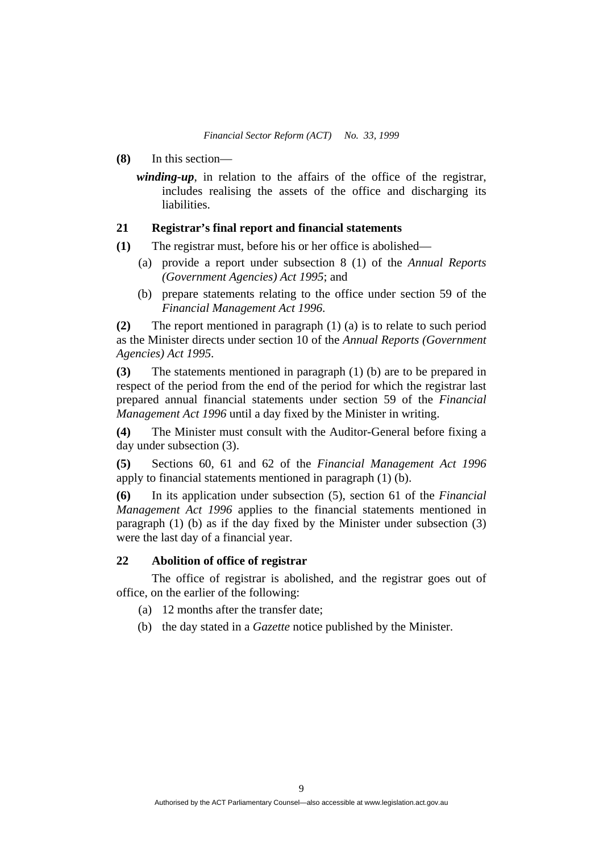- **(8)** In this section
	- *winding-up*, in relation to the affairs of the office of the registrar, includes realising the assets of the office and discharging its liabilities.

### **21 Registrar's final report and financial statements**

- **(1)** The registrar must, before his or her office is abolished—
	- (a) provide a report under subsection 8 (1) of the *Annual Reports (Government Agencies) Act 1995*; and
	- (b) prepare statements relating to the office under section 59 of the *Financial Management Act 1996*.

**(2)** The report mentioned in paragraph (1) (a) is to relate to such period as the Minister directs under section 10 of the *Annual Reports (Government Agencies) Act 1995*.

**(3)** The statements mentioned in paragraph (1) (b) are to be prepared in respect of the period from the end of the period for which the registrar last prepared annual financial statements under section 59 of the *Financial Management Act 1996* until a day fixed by the Minister in writing.

**(4)** The Minister must consult with the Auditor-General before fixing a day under subsection (3).

**(5)** Sections 60, 61 and 62 of the *Financial Management Act 1996*  apply to financial statements mentioned in paragraph (1) (b).

**(6)** In its application under subsection (5), section 61 of the *Financial Management Act 1996* applies to the financial statements mentioned in paragraph (1) (b) as if the day fixed by the Minister under subsection (3) were the last day of a financial year.

### **22 Abolition of office of registrar**

 The office of registrar is abolished, and the registrar goes out of office, on the earlier of the following:

- (a) 12 months after the transfer date;
- (b) the day stated in a *Gazette* notice published by the Minister.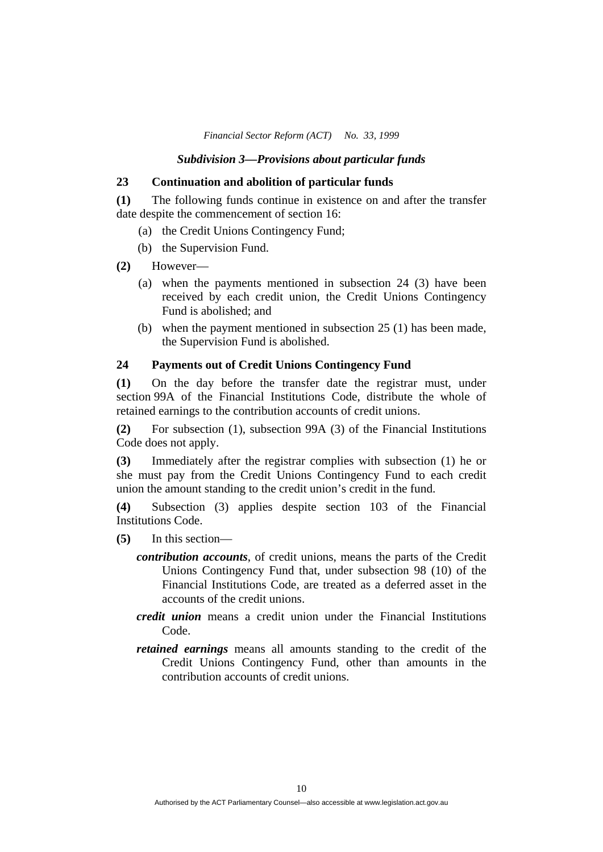*Financial Sector Reform (ACT) No. 33, 1999* 

#### *Subdivision 3—Provisions about particular funds*

#### **23 Continuation and abolition of particular funds**

**(1)** The following funds continue in existence on and after the transfer date despite the commencement of section 16:

- (a) the Credit Unions Contingency Fund;
- (b) the Supervision Fund.
- **(2)** However—
	- (a) when the payments mentioned in subsection 24 (3) have been received by each credit union, the Credit Unions Contingency Fund is abolished; and
	- (b) when the payment mentioned in subsection 25 (1) has been made, the Supervision Fund is abolished.

#### **24 Payments out of Credit Unions Contingency Fund**

**(1)** On the day before the transfer date the registrar must, under section 99A of the Financial Institutions Code, distribute the whole of retained earnings to the contribution accounts of credit unions.

**(2)** For subsection (1), subsection 99A (3) of the Financial Institutions Code does not apply.

**(3)** Immediately after the registrar complies with subsection (1) he or she must pay from the Credit Unions Contingency Fund to each credit union the amount standing to the credit union's credit in the fund.

**(4)** Subsection (3) applies despite section 103 of the Financial Institutions Code.

- **(5)** In this section
	- *contribution accounts*, of credit unions, means the parts of the Credit Unions Contingency Fund that, under subsection 98 (10) of the Financial Institutions Code, are treated as a deferred asset in the accounts of the credit unions.
	- *credit union* means a credit union under the Financial Institutions Code.
	- *retained earnings* means all amounts standing to the credit of the Credit Unions Contingency Fund, other than amounts in the contribution accounts of credit unions.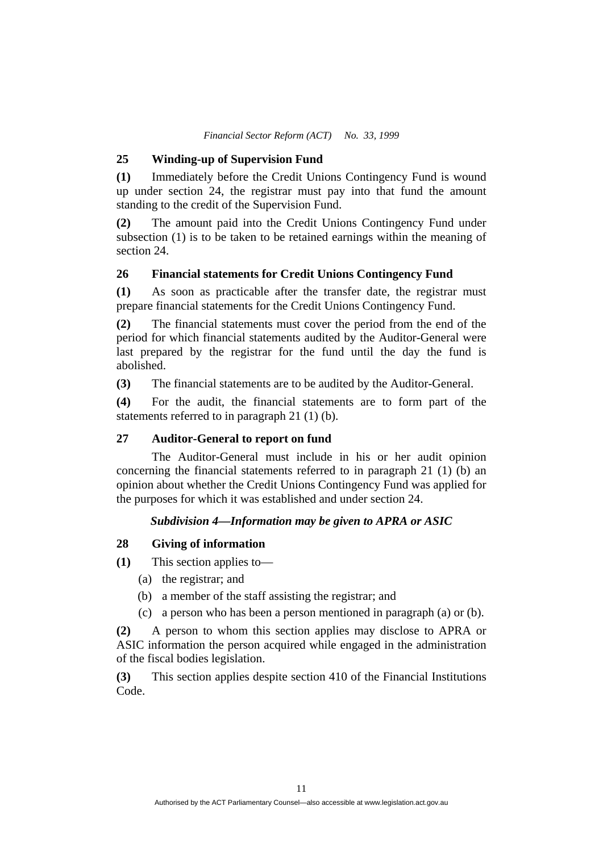#### **25 Winding-up of Supervision Fund**

**(1)** Immediately before the Credit Unions Contingency Fund is wound up under section 24, the registrar must pay into that fund the amount standing to the credit of the Supervision Fund.

**(2)** The amount paid into the Credit Unions Contingency Fund under subsection (1) is to be taken to be retained earnings within the meaning of section 24.

### **26 Financial statements for Credit Unions Contingency Fund**

**(1)** As soon as practicable after the transfer date, the registrar must prepare financial statements for the Credit Unions Contingency Fund.

**(2)** The financial statements must cover the period from the end of the period for which financial statements audited by the Auditor-General were last prepared by the registrar for the fund until the day the fund is abolished.

**(3)** The financial statements are to be audited by the Auditor-General.

**(4)** For the audit, the financial statements are to form part of the statements referred to in paragraph 21 (1) (b).

### **27 Auditor-General to report on fund**

 The Auditor-General must include in his or her audit opinion concerning the financial statements referred to in paragraph 21 (1) (b) an opinion about whether the Credit Unions Contingency Fund was applied for the purposes for which it was established and under section 24.

#### *Subdivision 4—Information may be given to APRA or ASIC*

#### **28 Giving of information**

**(1)** This section applies to—

- (a) the registrar; and
- (b) a member of the staff assisting the registrar; and
- (c) a person who has been a person mentioned in paragraph (a) or (b).

**(2)** A person to whom this section applies may disclose to APRA or ASIC information the person acquired while engaged in the administration of the fiscal bodies legislation.

**(3)** This section applies despite section 410 of the Financial Institutions Code.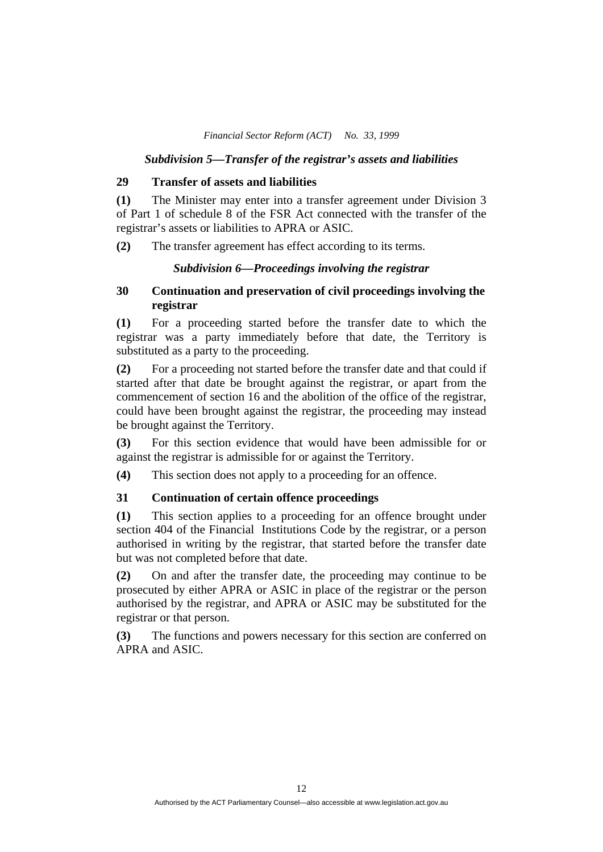*Financial Sector Reform (ACT) No. 33, 1999* 

### *Subdivision 5—Transfer of the registrar's assets and liabilities*

### **29 Transfer of assets and liabilities**

**(1)** The Minister may enter into a transfer agreement under Division 3 of Part 1 of schedule 8 of the FSR Act connected with the transfer of the registrar's assets or liabilities to APRA or ASIC.

**(2)** The transfer agreement has effect according to its terms.

### *Subdivision 6—Proceedings involving the registrar*

### **30 Continuation and preservation of civil proceedings involving the registrar**

**(1)** For a proceeding started before the transfer date to which the registrar was a party immediately before that date, the Territory is substituted as a party to the proceeding.

**(2)** For a proceeding not started before the transfer date and that could if started after that date be brought against the registrar, or apart from the commencement of section 16 and the abolition of the office of the registrar, could have been brought against the registrar, the proceeding may instead be brought against the Territory.

**(3)** For this section evidence that would have been admissible for or against the registrar is admissible for or against the Territory.

**(4)** This section does not apply to a proceeding for an offence.

### **31 Continuation of certain offence proceedings**

**(1)** This section applies to a proceeding for an offence brought under section 404 of the Financial Institutions Code by the registrar, or a person authorised in writing by the registrar, that started before the transfer date but was not completed before that date.

**(2)** On and after the transfer date, the proceeding may continue to be prosecuted by either APRA or ASIC in place of the registrar or the person authorised by the registrar, and APRA or ASIC may be substituted for the registrar or that person.

**(3)** The functions and powers necessary for this section are conferred on APRA and ASIC.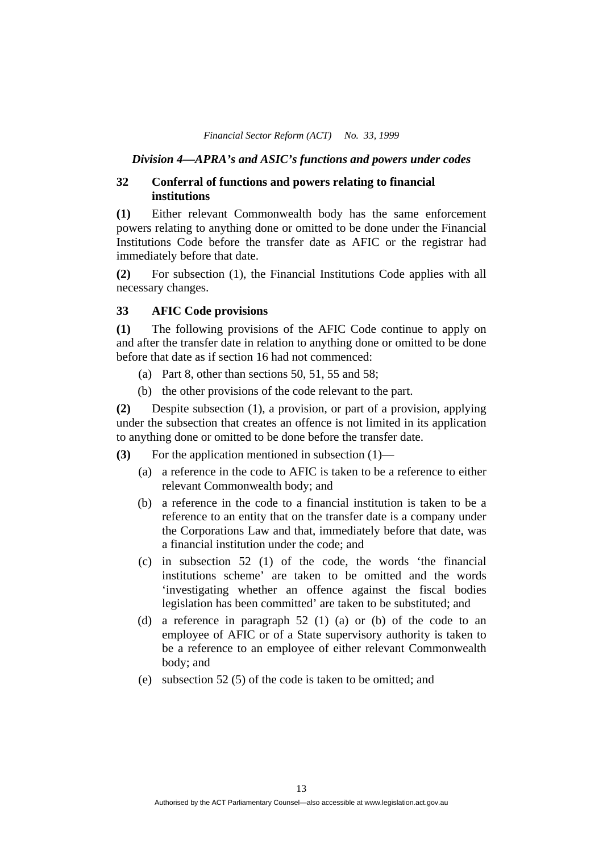#### *Division 4—APRA's and ASIC's functions and powers under codes*

### **32 Conferral of functions and powers relating to financial institutions**

**(1)** Either relevant Commonwealth body has the same enforcement powers relating to anything done or omitted to be done under the Financial Institutions Code before the transfer date as AFIC or the registrar had immediately before that date.

**(2)** For subsection (1), the Financial Institutions Code applies with all necessary changes.

#### **33 AFIC Code provisions**

**(1)** The following provisions of the AFIC Code continue to apply on and after the transfer date in relation to anything done or omitted to be done before that date as if section 16 had not commenced:

- (a) Part 8, other than sections  $50, 51, 55$  and  $58$ ;
- (b) the other provisions of the code relevant to the part.

**(2)** Despite subsection (1), a provision, or part of a provision, applying under the subsection that creates an offence is not limited in its application to anything done or omitted to be done before the transfer date.

- **(3)** For the application mentioned in subsection (1)—
	- (a) a reference in the code to AFIC is taken to be a reference to either relevant Commonwealth body; and
	- (b) a reference in the code to a financial institution is taken to be a reference to an entity that on the transfer date is a company under the Corporations Law and that, immediately before that date, was a financial institution under the code; and
	- (c) in subsection 52 (1) of the code, the words 'the financial institutions scheme' are taken to be omitted and the words 'investigating whether an offence against the fiscal bodies legislation has been committed' are taken to be substituted; and
	- (d) a reference in paragraph 52 (1) (a) or (b) of the code to an employee of AFIC or of a State supervisory authority is taken to be a reference to an employee of either relevant Commonwealth body; and
	- (e) subsection 52 (5) of the code is taken to be omitted; and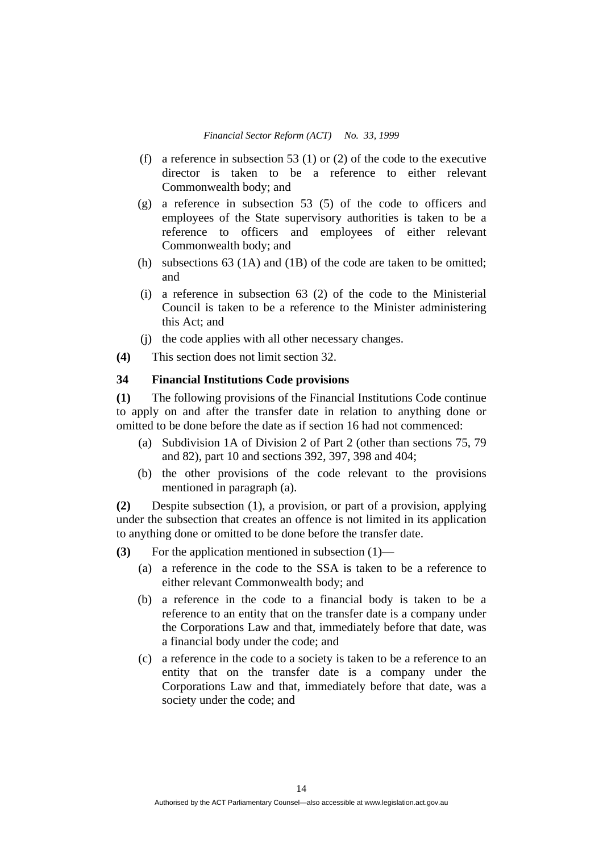- (f) a reference in subsection 53 (1) or (2) of the code to the executive director is taken to be a reference to either relevant Commonwealth body; and
- (g) a reference in subsection 53 (5) of the code to officers and employees of the State supervisory authorities is taken to be a reference to officers and employees of either relevant Commonwealth body; and
- (h) subsections 63 (1A) and (1B) of the code are taken to be omitted; and
- (i) a reference in subsection 63 (2) of the code to the Ministerial Council is taken to be a reference to the Minister administering this Act; and
- (j) the code applies with all other necessary changes.
- **(4)** This section does not limit section 32.

#### **34 Financial Institutions Code provisions**

**(1)** The following provisions of the Financial Institutions Code continue to apply on and after the transfer date in relation to anything done or omitted to be done before the date as if section 16 had not commenced:

- (a) Subdivision 1A of Division 2 of Part 2 (other than sections 75, 79 and 82), part 10 and sections 392, 397, 398 and 404;
- (b) the other provisions of the code relevant to the provisions mentioned in paragraph (a).

**(2)** Despite subsection (1), a provision, or part of a provision, applying under the subsection that creates an offence is not limited in its application to anything done or omitted to be done before the transfer date.

- **(3)** For the application mentioned in subsection (1)—
	- (a) a reference in the code to the SSA is taken to be a reference to either relevant Commonwealth body; and
	- (b) a reference in the code to a financial body is taken to be a reference to an entity that on the transfer date is a company under the Corporations Law and that, immediately before that date, was a financial body under the code; and
	- (c) a reference in the code to a society is taken to be a reference to an entity that on the transfer date is a company under the Corporations Law and that, immediately before that date, was a society under the code; and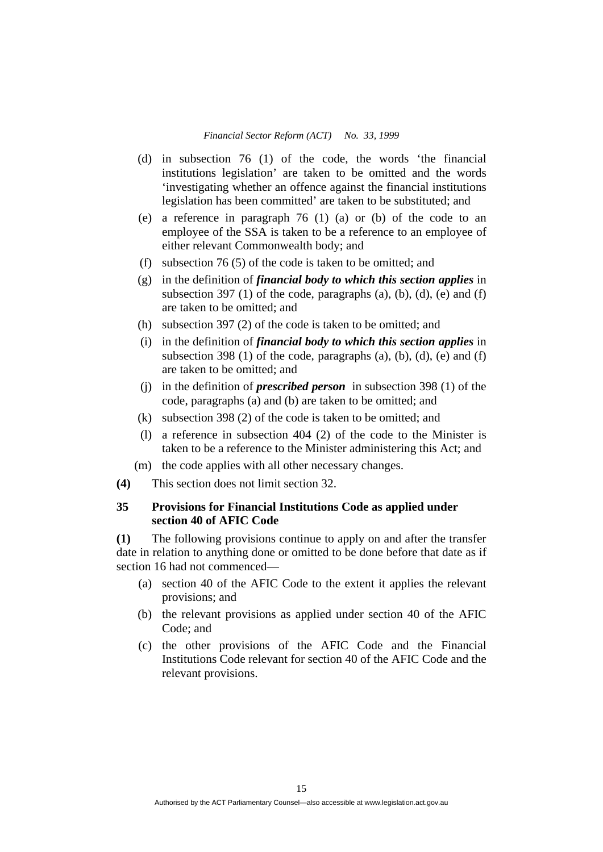- (d) in subsection 76 (1) of the code, the words 'the financial institutions legislation' are taken to be omitted and the words 'investigating whether an offence against the financial institutions legislation has been committed' are taken to be substituted; and
- (e) a reference in paragraph 76 (1) (a) or (b) of the code to an employee of the SSA is taken to be a reference to an employee of either relevant Commonwealth body; and
- (f) subsection 76 (5) of the code is taken to be omitted; and
- (g) in the definition of *financial body to which this section applies* in subsection 397 (1) of the code, paragraphs (a), (b), (d), (e) and (f) are taken to be omitted; and
- (h) subsection 397 (2) of the code is taken to be omitted; and
- (i) in the definition of *financial body to which this section applies* in subsection 398 (1) of the code, paragraphs (a), (b), (d), (e) and (f) are taken to be omitted; and
- (j) in the definition of *prescribed person* in subsection 398 (1) of the code, paragraphs (a) and (b) are taken to be omitted; and
- (k) subsection 398 (2) of the code is taken to be omitted; and
- (l) a reference in subsection 404 (2) of the code to the Minister is taken to be a reference to the Minister administering this Act; and
- (m) the code applies with all other necessary changes.
- **(4)** This section does not limit section 32.

### **35 Provisions for Financial Institutions Code as applied under section 40 of AFIC Code**

**(1)** The following provisions continue to apply on and after the transfer date in relation to anything done or omitted to be done before that date as if section 16 had not commenced—

- (a) section 40 of the AFIC Code to the extent it applies the relevant provisions; and
- (b) the relevant provisions as applied under section 40 of the AFIC Code; and
- (c) the other provisions of the AFIC Code and the Financial Institutions Code relevant for section 40 of the AFIC Code and the relevant provisions.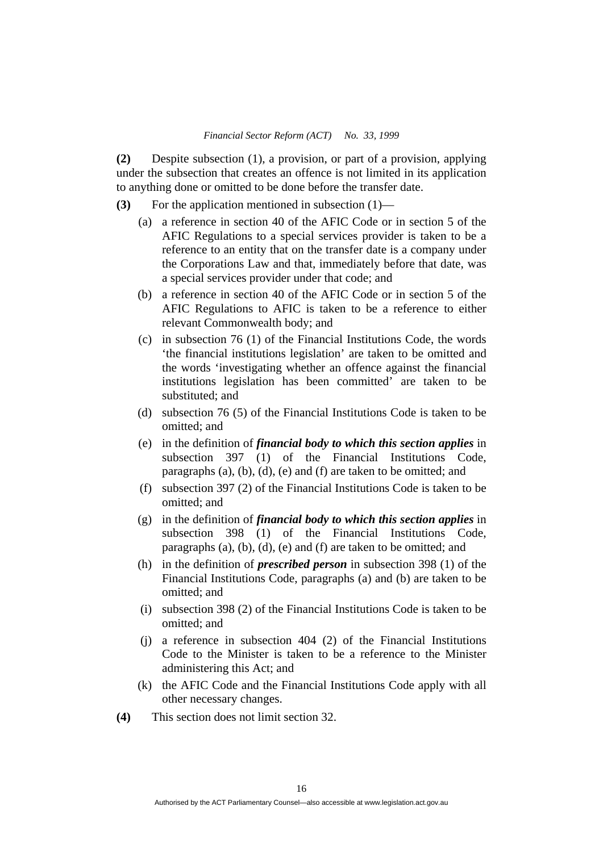**(2)** Despite subsection (1), a provision, or part of a provision, applying under the subsection that creates an offence is not limited in its application to anything done or omitted to be done before the transfer date.

- **(3)** For the application mentioned in subsection (1)—
	- (a) a reference in section 40 of the AFIC Code or in section 5 of the AFIC Regulations to a special services provider is taken to be a reference to an entity that on the transfer date is a company under the Corporations Law and that, immediately before that date, was a special services provider under that code; and
	- (b) a reference in section 40 of the AFIC Code or in section 5 of the AFIC Regulations to AFIC is taken to be a reference to either relevant Commonwealth body; and
	- (c) in subsection 76 (1) of the Financial Institutions Code, the words 'the financial institutions legislation' are taken to be omitted and the words 'investigating whether an offence against the financial institutions legislation has been committed' are taken to be substituted; and
	- (d) subsection 76 (5) of the Financial Institutions Code is taken to be omitted; and
	- (e) in the definition of *financial body to which this section applies* in subsection 397 (1) of the Financial Institutions Code, paragraphs (a), (b), (d), (e) and (f) are taken to be omitted; and
	- (f) subsection 397 (2) of the Financial Institutions Code is taken to be omitted; and
	- (g) in the definition of *financial body to which this section applies* in subsection 398 (1) of the Financial Institutions Code, paragraphs (a), (b), (d), (e) and (f) are taken to be omitted; and
	- (h) in the definition of *prescribed person* in subsection 398 (1) of the Financial Institutions Code, paragraphs (a) and (b) are taken to be omitted; and
	- (i) subsection 398 (2) of the Financial Institutions Code is taken to be omitted; and
	- (j) a reference in subsection 404 (2) of the Financial Institutions Code to the Minister is taken to be a reference to the Minister administering this Act; and
	- (k) the AFIC Code and the Financial Institutions Code apply with all other necessary changes.
- **(4)** This section does not limit section 32.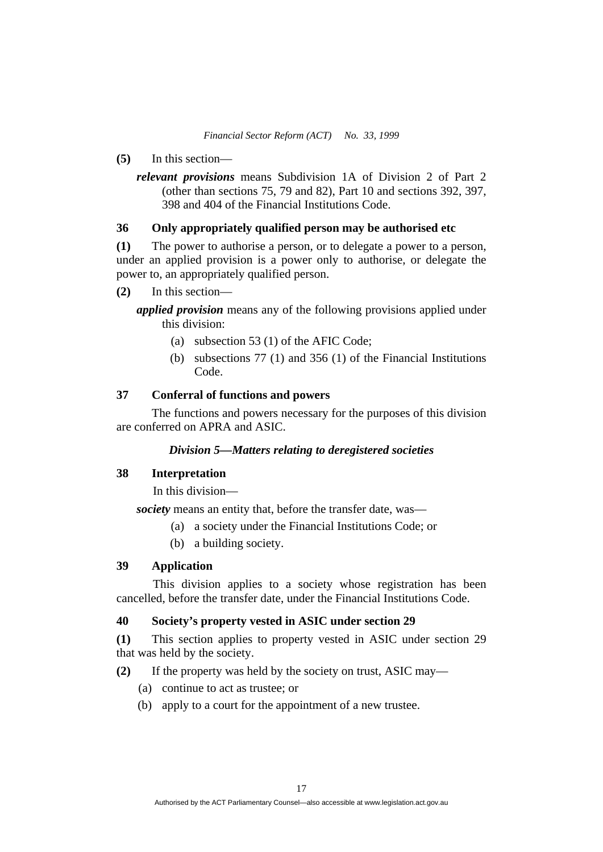- **(5)** In this section
	- *relevant provisions* means Subdivision 1A of Division 2 of Part 2 (other than sections 75, 79 and 82), Part 10 and sections 392, 397, 398 and 404 of the Financial Institutions Code.

### **36 Only appropriately qualified person may be authorised etc**

**(1)** The power to authorise a person, or to delegate a power to a person, under an applied provision is a power only to authorise, or delegate the power to, an appropriately qualified person.

**(2)** In this section—

*applied provision* means any of the following provisions applied under this division:

- (a) subsection 53 (1) of the AFIC Code;
- (b) subsections 77 (1) and 356 (1) of the Financial Institutions Code.

### **37 Conferral of functions and powers**

 The functions and powers necessary for the purposes of this division are conferred on APRA and ASIC.

### *Division 5—Matters relating to deregistered societies*

#### **38 Interpretation**

In this division—

*society* means an entity that, before the transfer date, was—

- (a) a society under the Financial Institutions Code; or
- (b) a building society.

#### **39 Application**

 This division applies to a society whose registration has been cancelled, before the transfer date, under the Financial Institutions Code.

### **40 Society's property vested in ASIC under section 29**

**(1)** This section applies to property vested in ASIC under section 29 that was held by the society.

**(2)** If the property was held by the society on trust, ASIC may—

- (a) continue to act as trustee; or
- (b) apply to a court for the appointment of a new trustee.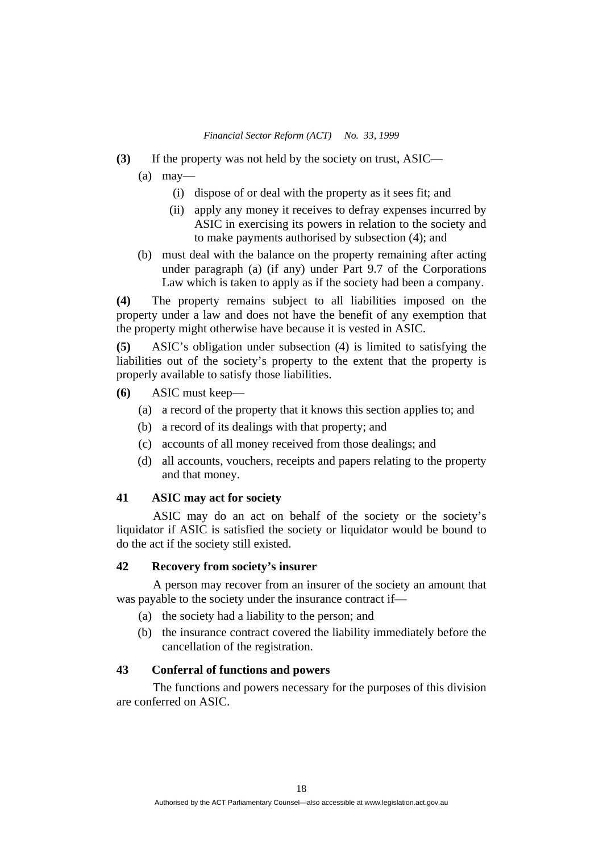- **(3)** If the property was not held by the society on trust, ASIC—
	- $(a)$  may—
		- (i) dispose of or deal with the property as it sees fit; and
		- (ii) apply any money it receives to defray expenses incurred by ASIC in exercising its powers in relation to the society and to make payments authorised by subsection (4); and
	- (b) must deal with the balance on the property remaining after acting under paragraph (a) (if any) under Part 9.7 of the Corporations Law which is taken to apply as if the society had been a company.

**(4)** The property remains subject to all liabilities imposed on the property under a law and does not have the benefit of any exemption that the property might otherwise have because it is vested in ASIC.

**(5)** ASIC's obligation under subsection (4) is limited to satisfying the liabilities out of the society's property to the extent that the property is properly available to satisfy those liabilities.

- **(6)** ASIC must keep—
	- (a) a record of the property that it knows this section applies to; and
	- (b) a record of its dealings with that property; and
	- (c) accounts of all money received from those dealings; and
	- (d) all accounts, vouchers, receipts and papers relating to the property and that money.

#### **41 ASIC may act for society**

 ASIC may do an act on behalf of the society or the society's liquidator if ASIC is satisfied the society or liquidator would be bound to do the act if the society still existed.

#### **42 Recovery from society's insurer**

 A person may recover from an insurer of the society an amount that was payable to the society under the insurance contract if—

- (a) the society had a liability to the person; and
- (b) the insurance contract covered the liability immediately before the cancellation of the registration.

### **43 Conferral of functions and powers**

 The functions and powers necessary for the purposes of this division are conferred on ASIC.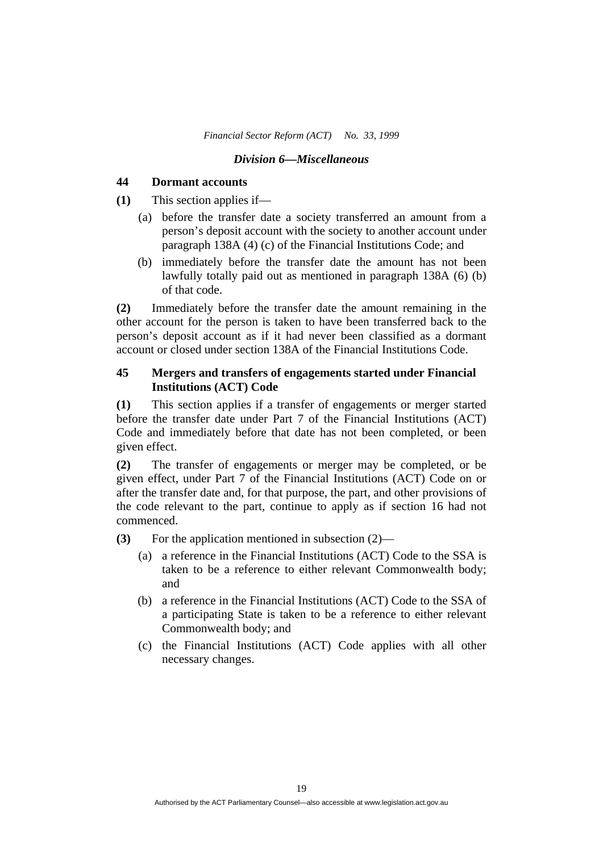#### *Division 6—Miscellaneous*

#### **44 Dormant accounts**

**(1)** This section applies if—

- (a) before the transfer date a society transferred an amount from a person's deposit account with the society to another account under paragraph 138A (4) (c) of the Financial Institutions Code; and
- (b) immediately before the transfer date the amount has not been lawfully totally paid out as mentioned in paragraph 138A (6) (b) of that code.

**(2)** Immediately before the transfer date the amount remaining in the other account for the person is taken to have been transferred back to the person's deposit account as if it had never been classified as a dormant account or closed under section 138A of the Financial Institutions Code.

### **45 Mergers and transfers of engagements started under Financial Institutions (ACT) Code**

**(1)** This section applies if a transfer of engagements or merger started before the transfer date under Part 7 of the Financial Institutions (ACT) Code and immediately before that date has not been completed, or been given effect.

**(2)** The transfer of engagements or merger may be completed, or be given effect, under Part 7 of the Financial Institutions (ACT) Code on or after the transfer date and, for that purpose, the part, and other provisions of the code relevant to the part, continue to apply as if section 16 had not commenced.

**(3)** For the application mentioned in subsection (2)—

- (a) a reference in the Financial Institutions (ACT) Code to the SSA is taken to be a reference to either relevant Commonwealth body; and
- (b) a reference in the Financial Institutions (ACT) Code to the SSA of a participating State is taken to be a reference to either relevant Commonwealth body; and
- (c) the Financial Institutions (ACT) Code applies with all other necessary changes.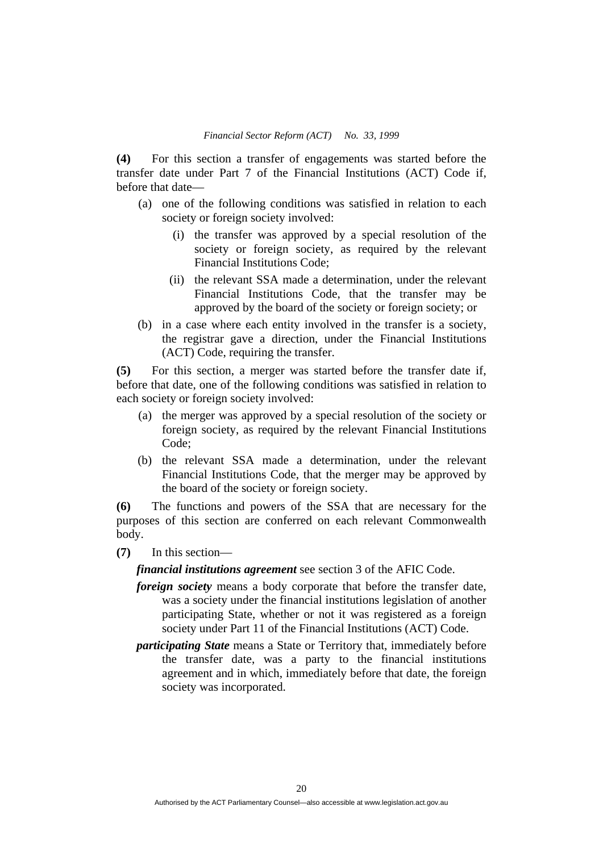**(4)** For this section a transfer of engagements was started before the transfer date under Part 7 of the Financial Institutions (ACT) Code if, before that date—

- (a) one of the following conditions was satisfied in relation to each society or foreign society involved:
	- (i) the transfer was approved by a special resolution of the society or foreign society, as required by the relevant Financial Institutions Code;
	- (ii) the relevant SSA made a determination, under the relevant Financial Institutions Code, that the transfer may be approved by the board of the society or foreign society; or
- (b) in a case where each entity involved in the transfer is a society, the registrar gave a direction, under the Financial Institutions (ACT) Code, requiring the transfer.

**(5)** For this section, a merger was started before the transfer date if, before that date, one of the following conditions was satisfied in relation to each society or foreign society involved:

- (a) the merger was approved by a special resolution of the society or foreign society, as required by the relevant Financial Institutions Code;
- (b) the relevant SSA made a determination, under the relevant Financial Institutions Code, that the merger may be approved by the board of the society or foreign society.

**(6)** The functions and powers of the SSA that are necessary for the purposes of this section are conferred on each relevant Commonwealth body.

**(7)** In this section—

*financial institutions agreement* see section 3 of the AFIC Code.

- *foreign society* means a body corporate that before the transfer date, was a society under the financial institutions legislation of another participating State, whether or not it was registered as a foreign society under Part 11 of the Financial Institutions (ACT) Code.
- *participating State* means a State or Territory that, immediately before the transfer date, was a party to the financial institutions agreement and in which, immediately before that date, the foreign society was incorporated.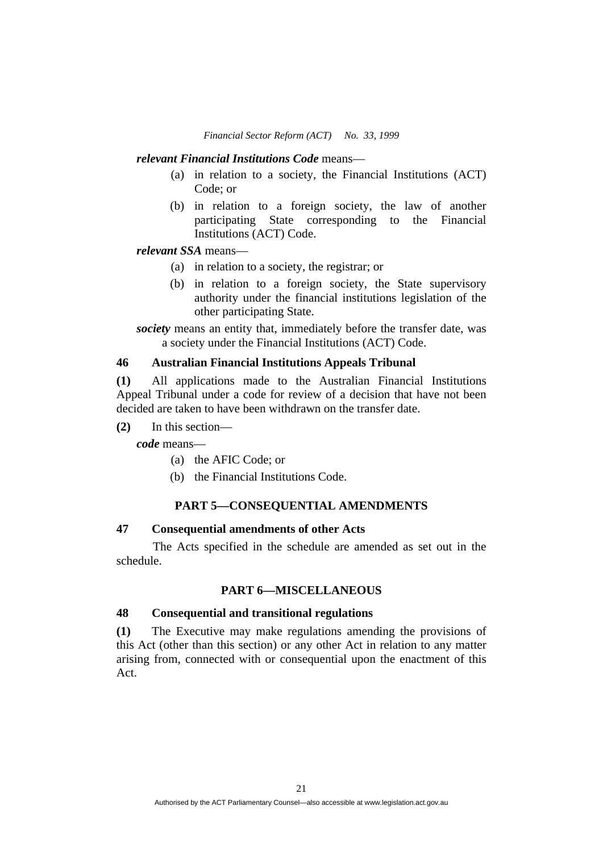#### *relevant Financial Institutions Code* means—

- (a) in relation to a society, the Financial Institutions (ACT) Code; or
- (b) in relation to a foreign society, the law of another participating State corresponding to the Financial Institutions (ACT) Code.

### *relevant SSA* means—

- (a) in relation to a society, the registrar; or
- (b) in relation to a foreign society, the State supervisory authority under the financial institutions legislation of the other participating State.

*society* means an entity that, immediately before the transfer date, was a society under the Financial Institutions (ACT) Code.

#### **46 Australian Financial Institutions Appeals Tribunal**

**(1)** All applications made to the Australian Financial Institutions Appeal Tribunal under a code for review of a decision that have not been decided are taken to have been withdrawn on the transfer date.

**(2)** In this section—

*code* means—

- (a) the AFIC Code; or
- (b) the Financial Institutions Code.

#### **PART 5—CONSEQUENTIAL AMENDMENTS**

### **47 Consequential amendments of other Acts**

 The Acts specified in the schedule are amended as set out in the schedule.

### **PART 6—MISCELLANEOUS**

#### **48 Consequential and transitional regulations**

**(1)** The Executive may make regulations amending the provisions of this Act (other than this section) or any other Act in relation to any matter arising from, connected with or consequential upon the enactment of this Act.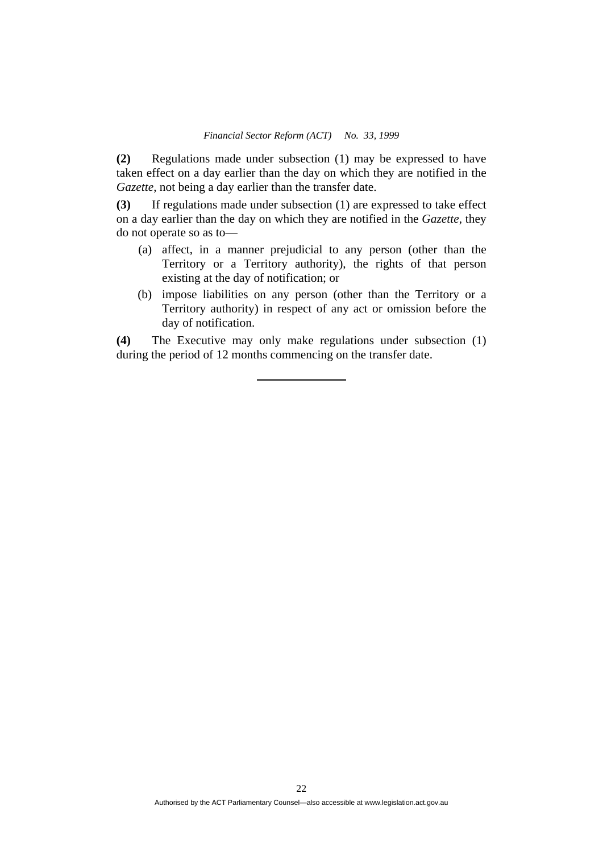**(2)** Regulations made under subsection (1) may be expressed to have taken effect on a day earlier than the day on which they are notified in the *Gazette*, not being a day earlier than the transfer date.

**(3)** If regulations made under subsection (1) are expressed to take effect on a day earlier than the day on which they are notified in the *Gazette*, they do not operate so as to—

- (a) affect, in a manner prejudicial to any person (other than the Territory or a Territory authority), the rights of that person existing at the day of notification; or
- (b) impose liabilities on any person (other than the Territory or a Territory authority) in respect of any act or omission before the day of notification.

**(4)** The Executive may only make regulations under subsection (1) during the period of 12 months commencing on the transfer date.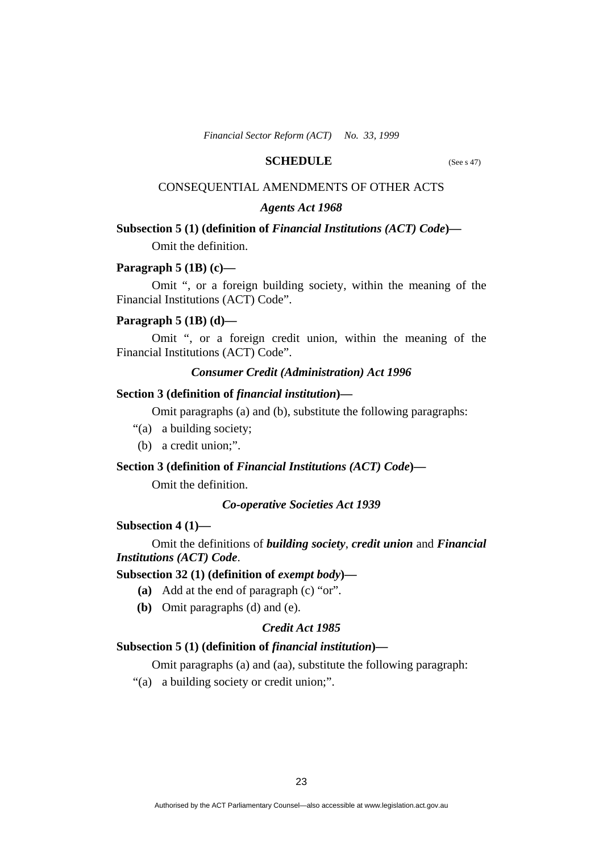### **SCHEDULE** (See s 47)

### CONSEQUENTIAL AMENDMENTS OF OTHER ACTS

#### *Agents Act 1968*

#### **Subsection 5 (1) (definition of** *Financial Institutions (ACT) Code***)—**

Omit the definition.

#### **Paragraph 5 (1B) (c)—**

 Omit ", or a foreign building society, within the meaning of the Financial Institutions (ACT) Code".

#### **Paragraph 5 (1B) (d)—**

 Omit ", or a foreign credit union, within the meaning of the Financial Institutions (ACT) Code".

#### *Consumer Credit (Administration) Act 1996*

### **Section 3 (definition of** *financial institution***)—**

Omit paragraphs (a) and (b), substitute the following paragraphs:

- "(a) a building society;
- (b) a credit union;".

#### **Section 3 (definition of** *Financial Institutions (ACT) Code***)—**

Omit the definition.

#### *Co-operative Societies Act 1939*

#### **Subsection 4 (1)—**

 Omit the definitions of *building society*, *credit union* and *Financial Institutions (ACT) Code*.

### **Subsection 32 (1) (definition of** *exempt body***)—**

- **(a)** Add at the end of paragraph (c) "or".
- **(b)** Omit paragraphs (d) and (e).

#### *Credit Act 1985*

### **Subsection 5 (1) (definition of** *financial institution***)—**

Omit paragraphs (a) and (aa), substitute the following paragraph:

"(a) a building society or credit union;".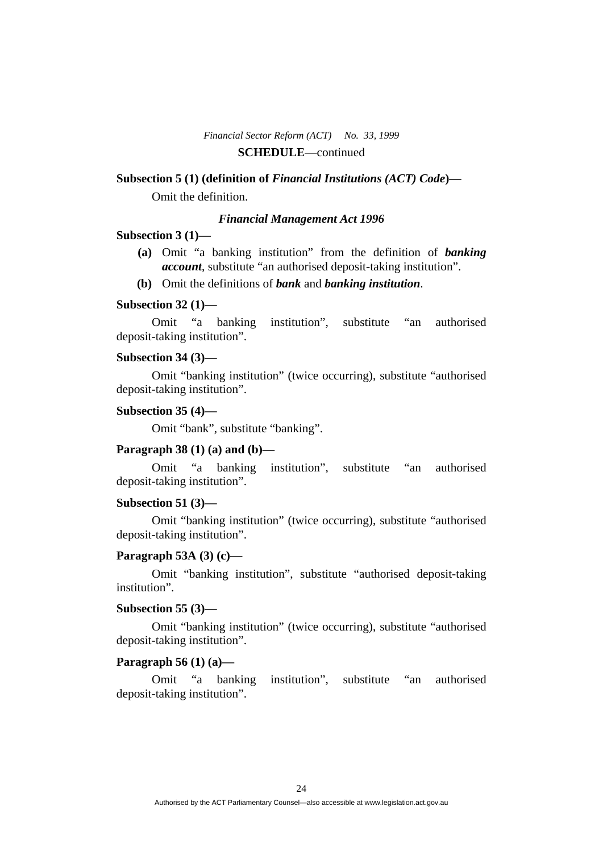### *Financial Sector Reform (ACT) No. 33, 1999*  **SCHEDULE**—continued

#### **Subsection 5 (1) (definition of** *Financial Institutions (ACT) Code***)—**

Omit the definition.

#### *Financial Management Act 1996*

#### **Subsection 3 (1)—**

- **(a)** Omit "a banking institution" from the definition of *banking account*, substitute "an authorised deposit-taking institution".
- **(b)** Omit the definitions of *bank* and *banking institution*.

### **Subsection 32 (1)—**

 Omit "a banking institution", substitute "an authorised deposit-taking institution".

#### **Subsection 34 (3)—**

 Omit "banking institution" (twice occurring), substitute "authorised deposit-taking institution".

#### **Subsection 35 (4)—**

Omit "bank", substitute "banking".

### **Paragraph 38 (1) (a) and (b)—**

 Omit "a banking institution", substitute "an authorised deposit-taking institution".

#### **Subsection 51 (3)—**

 Omit "banking institution" (twice occurring), substitute "authorised deposit-taking institution".

#### **Paragraph 53A (3) (c)—**

 Omit "banking institution", substitute "authorised deposit-taking institution".

#### **Subsection 55 (3)—**

 Omit "banking institution" (twice occurring), substitute "authorised deposit-taking institution".

#### **Paragraph 56 (1) (a)—**

 Omit "a banking institution", substitute "an authorised deposit-taking institution".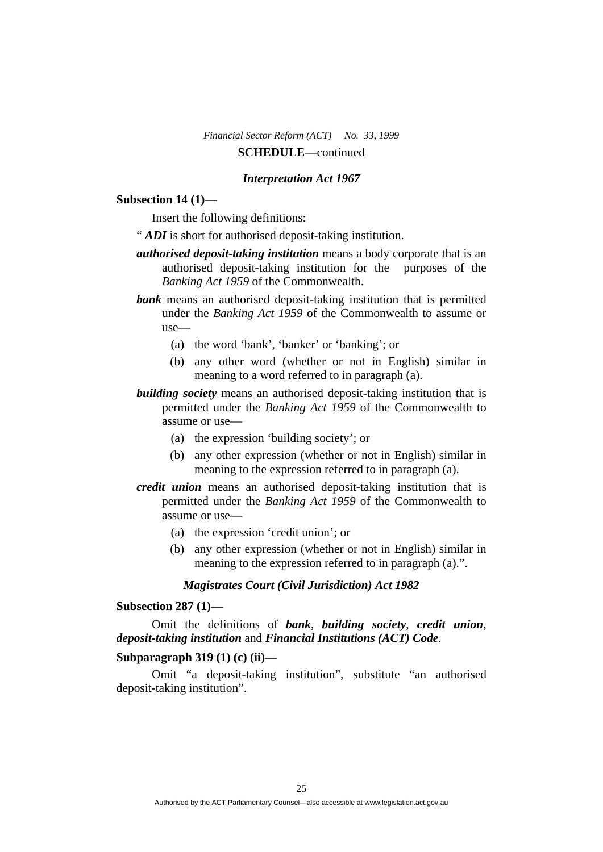### *Financial Sector Reform (ACT) No. 33, 1999*  **SCHEDULE**—continued

#### *Interpretation Act 1967*

#### **Subsection 14 (1)—**

Insert the following definitions:

- " *ADI* is short for authorised deposit-taking institution.
- *authorised deposit-taking institution* means a body corporate that is an authorised deposit-taking institution for the purposes of the *Banking Act 1959* of the Commonwealth.
- **bank** means an authorised deposit-taking institution that is permitted under the *Banking Act 1959* of the Commonwealth to assume or use—
	- (a) the word 'bank', 'banker' or 'banking'; or
	- (b) any other word (whether or not in English) similar in meaning to a word referred to in paragraph (a).
- *building society* means an authorised deposit-taking institution that is permitted under the *Banking Act 1959* of the Commonwealth to assume or use—
	- (a) the expression 'building society'; or
	- (b) any other expression (whether or not in English) similar in meaning to the expression referred to in paragraph (a).
- *credit union* means an authorised deposit-taking institution that is permitted under the *Banking Act 1959* of the Commonwealth to assume or use—
	- (a) the expression 'credit union'; or
	- (b) any other expression (whether or not in English) similar in meaning to the expression referred to in paragraph (a).".

#### *Magistrates Court (Civil Jurisdiction) Act 1982*

#### **Subsection 287 (1)—**

 Omit the definitions of *bank*, *building society*, *credit union*, *deposit-taking institution* and *Financial Institutions (ACT) Code*.

#### **Subparagraph 319 (1) (c) (ii)—**

 Omit "a deposit-taking institution", substitute "an authorised deposit-taking institution".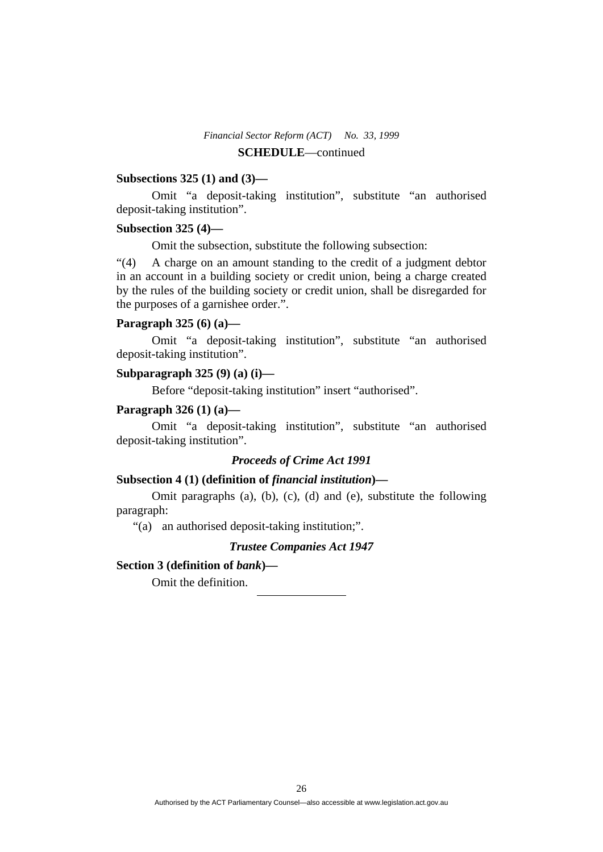### *Financial Sector Reform (ACT) No. 33, 1999*  **SCHEDULE**—continued

#### **Subsections 325 (1) and (3)—**

 Omit "a deposit-taking institution", substitute "an authorised deposit-taking institution".

### **Subsection 325 (4)—**

Omit the subsection, substitute the following subsection:

"(4) A charge on an amount standing to the credit of a judgment debtor in an account in a building society or credit union, being a charge created by the rules of the building society or credit union, shall be disregarded for the purposes of a garnishee order.".

#### **Paragraph 325 (6) (a)—**

 Omit "a deposit-taking institution", substitute "an authorised deposit-taking institution".

#### **Subparagraph 325 (9) (a) (i)—**

Before "deposit-taking institution" insert "authorised".

#### **Paragraph 326 (1) (a)—**

 Omit "a deposit-taking institution", substitute "an authorised deposit-taking institution".

### *Proceeds of Crime Act 1991*

### **Subsection 4 (1) (definition of** *financial institution***)—**

 Omit paragraphs (a), (b), (c), (d) and (e), substitute the following paragraph:

"(a) an authorised deposit-taking institution;".

#### *Trustee Companies Act 1947*

#### **Section 3 (definition of** *bank***)—**

Omit the definition.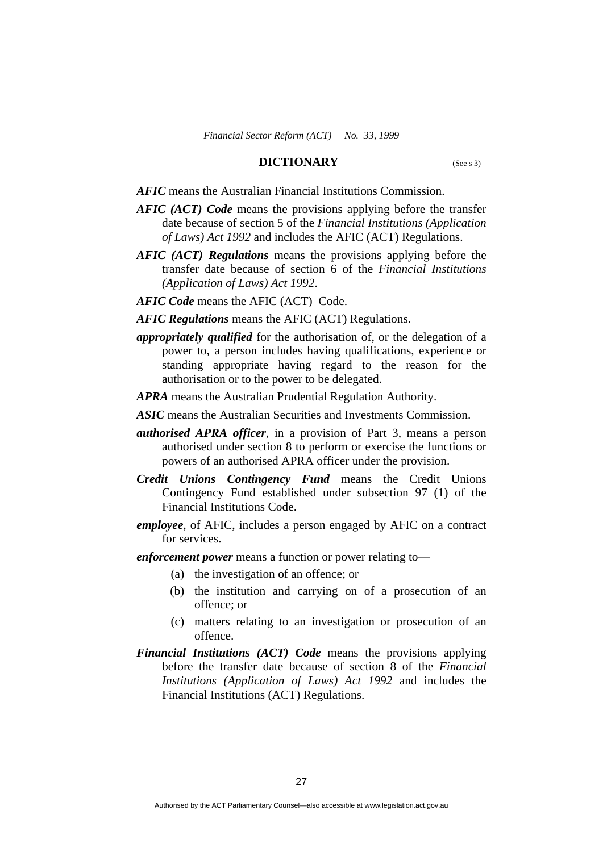#### **DICTIONARY** (See s 3)

*AFIC* means the Australian Financial Institutions Commission.

- *AFIC (ACT) Code* means the provisions applying before the transfer date because of section 5 of the *Financial Institutions (Application of Laws) Act 1992* and includes the AFIC (ACT) Regulations.
- *AFIC (ACT) Regulations* means the provisions applying before the transfer date because of section 6 of the *Financial Institutions (Application of Laws) Act 1992*.
- *AFIC Code* means the AFIC (ACT) Code.

*AFIC Regulations* means the AFIC (ACT) Regulations.

- *appropriately qualified* for the authorisation of, or the delegation of a power to, a person includes having qualifications, experience or standing appropriate having regard to the reason for the authorisation or to the power to be delegated.
- *APRA* means the Australian Prudential Regulation Authority.
- *ASIC* means the Australian Securities and Investments Commission.
- *authorised APRA officer*, in a provision of Part 3, means a person authorised under section 8 to perform or exercise the functions or powers of an authorised APRA officer under the provision.
- *Credit Unions Contingency Fund* means the Credit Unions Contingency Fund established under subsection 97 (1) of the Financial Institutions Code.
- *employee*, of AFIC, includes a person engaged by AFIC on a contract for services.
- *enforcement power* means a function or power relating to—
	- (a) the investigation of an offence; or
	- (b) the institution and carrying on of a prosecution of an offence; or
	- (c) matters relating to an investigation or prosecution of an offence.
- *Financial Institutions (ACT) Code* means the provisions applying before the transfer date because of section 8 of the *Financial Institutions (Application of Laws) Act 1992* and includes the Financial Institutions (ACT) Regulations.